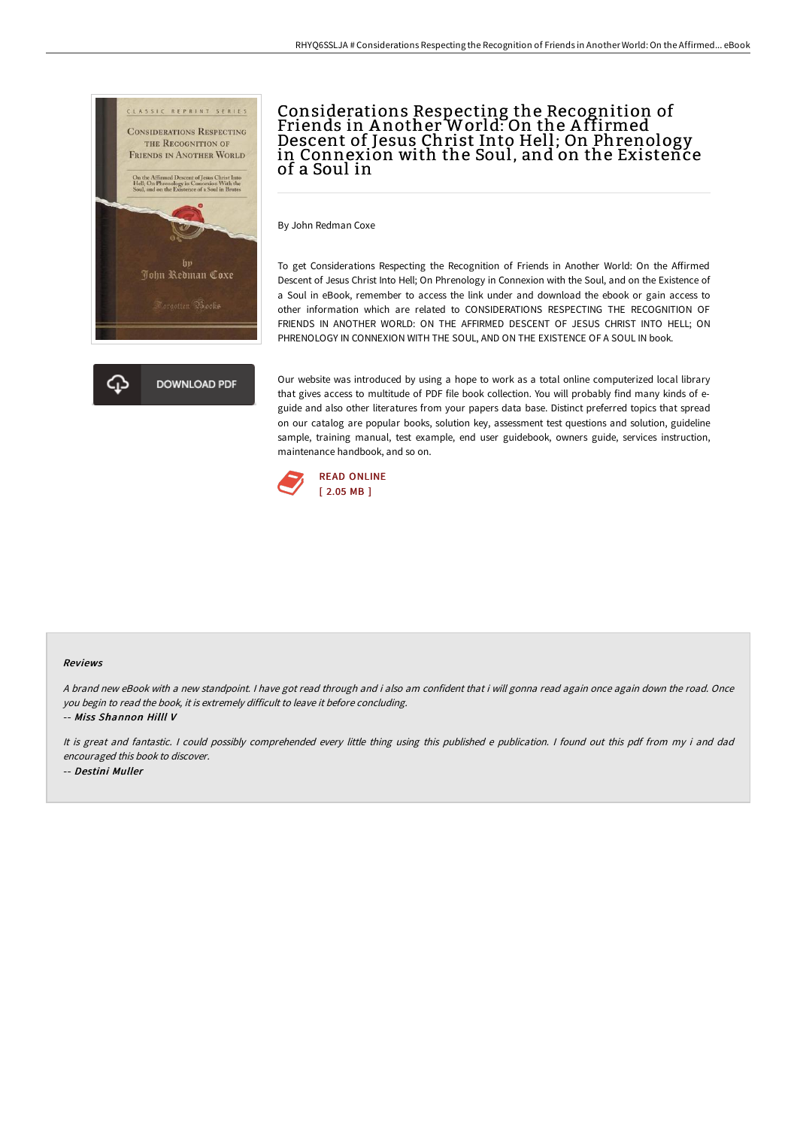

# Considerations Respecting the Recognition of Friends in A nother World: On the A ffirmed Descent of Jesus Christ Into Hell; On Phrenology in Connexion with the Soul, and on the Existence of a Soul in

By John Redman Coxe

To get Considerations Respecting the Recognition of Friends in Another World: On the Affirmed Descent of Jesus Christ Into Hell; On Phrenology in Connexion with the Soul, and on the Existence of a Soul in eBook, remember to access the link under and download the ebook or gain access to other information which are related to CONSIDERATIONS RESPECTING THE RECOGNITION OF FRIENDS IN ANOTHER WORLD: ON THE AFFIRMED DESCENT OF JESUS CHRIST INTO HELL; ON PHRENOLOGY IN CONNEXION WITH THE SOUL, AND ON THE EXISTENCE OF A SOUL IN book.

Our website was introduced by using a hope to work as a total online computerized local library that gives access to multitude of PDF file book collection. You will probably find many kinds of eguide and also other literatures from your papers data base. Distinct preferred topics that spread on our catalog are popular books, solution key, assessment test questions and solution, guideline sample, training manual, test example, end user guidebook, owners guide, services instruction, maintenance handbook, and so on.



#### Reviews

<sup>A</sup> brand new eBook with <sup>a</sup> new standpoint. <sup>I</sup> have got read through and i also am confident that i will gonna read again once again down the road. Once you begin to read the book, it is extremely difficult to leave it before concluding.

-- Miss Shannon Hilll V

It is great and fantastic. <sup>I</sup> could possibly comprehended every little thing using this published <sup>e</sup> publication. <sup>I</sup> found out this pdf from my i and dad encouraged this book to discover. -- Destini Muller